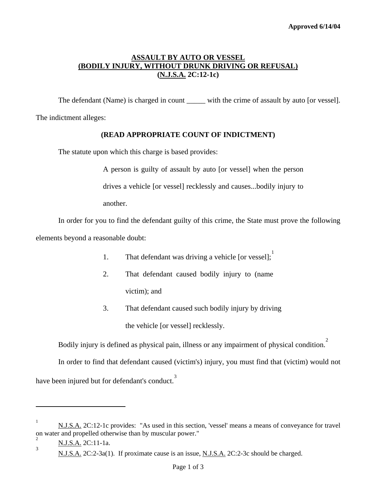# **ASSAULT BY AUTO OR VESSEL (BODILY INJURY, WITHOUT DRUNK DRIVING OR REFUSAL) (N.J.S.A. 2C:12-1c)**

The defendant (Name) is charged in count with the crime of assault by auto [or vessel].

The indictment alleges:

## **(READ APPROPRIATE COUNT OF INDICTMENT)**

The statute upon which this charge is based provides:

A person is guilty of assault by auto [or vessel] when the person

drives a vehicle [or vessel] recklessly and causes...bodily injury to

another.

 In order for you to find the defendant guilty of this crime, the State must prove the following elements beyond a reasonable doubt:

- [1](#page-0-0). That defendant was driving a vehicle [or vessel];
- 2. That defendant caused bodily injury to (name victim); and
- 3. That defendant caused such bodily injury by driving the vehicle [or vessel] recklessly.

Bodily injury is defined as physical pain, illness or any impairment of physical condition.<sup>[2](#page-0-1)</sup>

In order to find that defendant caused (victim's) injury, you must find that (victim) would not

have been injured but for defendant's conduct.<sup>[3](#page-0-2)</sup>

<span id="page-0-0"></span><sup>&</sup>lt;sup>1</sup> N.J.S.A. 2C:12-1c provides: "As used in this section, 'vessel' means a means of conveyance for travel on water and propelled otherwise than by muscular power."

<span id="page-0-2"></span><span id="page-0-1"></span><sup>2</sup> N.J.S.A. 2C:11-1a. 3

N.J.S.A. 2C:2-3a(1). If proximate cause is an issue, N.J.S.A. 2C:2-3c should be charged.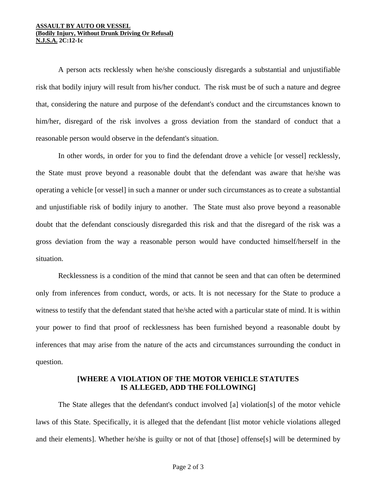#### **ASSAULT BY AUTO OR VESSEL (Bodily Injury, Without Drunk Driving Or Refusal) N.J.S.A. 2C:12-1c**

 A person acts recklessly when he/she consciously disregards a substantial and unjustifiable risk that bodily injury will result from his/her conduct. The risk must be of such a nature and degree that, considering the nature and purpose of the defendant's conduct and the circumstances known to him/her, disregard of the risk involves a gross deviation from the standard of conduct that a reasonable person would observe in the defendant's situation.

 In other words, in order for you to find the defendant drove a vehicle [or vessel] recklessly, the State must prove beyond a reasonable doubt that the defendant was aware that he/she was operating a vehicle [or vessel] in such a manner or under such circumstances as to create a substantial and unjustifiable risk of bodily injury to another. The State must also prove beyond a reasonable doubt that the defendant consciously disregarded this risk and that the disregard of the risk was a gross deviation from the way a reasonable person would have conducted himself/herself in the situation.

Recklessness is a condition of the mind that cannot be seen and that can often be determined only from inferences from conduct, words, or acts. It is not necessary for the State to produce a witness to testify that the defendant stated that he/she acted with a particular state of mind. It is within your power to find that proof of recklessness has been furnished beyond a reasonable doubt by inferences that may arise from the nature of the acts and circumstances surrounding the conduct in question.

## **[WHERE A VIOLATION OF THE MOTOR VEHICLE STATUTES IS ALLEGED, ADD THE FOLLOWING]**

The State alleges that the defendant's conduct involved [a] violation[s] of the motor vehicle laws of this State. Specifically, it is alleged that the defendant [list motor vehicle violations alleged and their elements]. Whether he/she is guilty or not of that [those] offense[s] will be determined by